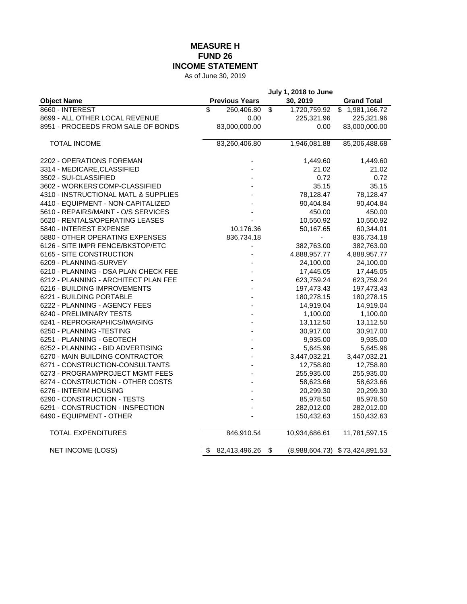## **MEASURE H FUND 26 INCOME STATEMENT**

As of June 30, 2019

|                                      | <b>July 1, 2018 to June</b> |                      |                    |
|--------------------------------------|-----------------------------|----------------------|--------------------|
| <b>Object Name</b>                   | <b>Previous Years</b>       | 30, 2019             | <b>Grand Total</b> |
| 8660 - INTEREST                      | \$<br>260,406.80            | \$<br>1,720,759.92   | \$1,981,166.72     |
| 8699 - ALL OTHER LOCAL REVENUE       | 0.00                        | 225,321.96           | 225,321.96         |
| 8951 - PROCEEDS FROM SALE OF BONDS   | 83,000,000.00               | 0.00                 | 83,000,000.00      |
|                                      |                             |                      |                    |
| <b>TOTAL INCOME</b>                  | 83,260,406.80               | 1,946,081.88         | 85,206,488.68      |
| 2202 - OPERATIONS FOREMAN            |                             | 1,449.60             | 1,449.60           |
| 3314 - MEDICARE, CLASSIFIED          |                             | 21.02                | 21.02              |
| 3502 - SUI-CLASSIFIED                |                             | 0.72                 | 0.72               |
| 3602 - WORKERS'COMP-CLASSIFIED       |                             | 35.15                | 35.15              |
| 4310 - INSTRUCTIONAL MATL & SUPPLIES |                             | 78,128.47            | 78,128.47          |
| 4410 - EQUIPMENT - NON-CAPITALIZED   |                             | 90,404.84            | 90,404.84          |
| 5610 - REPAIRS/MAINT - O/S SERVICES  |                             | 450.00               | 450.00             |
| 5620 - RENTALS/OPERATING LEASES      |                             | 10,550.92            | 10,550.92          |
| 5840 - INTEREST EXPENSE              | 10,176.36                   | 50,167.65            | 60,344.01          |
| 5880 - OTHER OPERATING EXPENSES      | 836,734.18                  |                      | 836,734.18         |
| 6126 - SITE IMPR FENCE/BKSTOP/ETC    |                             | 382,763.00           | 382,763.00         |
| 6165 - SITE CONSTRUCTION             |                             | 4,888,957.77         | 4,888,957.77       |
| 6209 - PLANNING-SURVEY               |                             | 24,100.00            | 24,100.00          |
| 6210 - PLANNING - DSA PLAN CHECK FEE |                             | 17,445.05            | 17,445.05          |
| 6212 - PLANNING - ARCHITECT PLAN FEE |                             | 623,759.24           | 623,759.24         |
| 6216 - BUILDING IMPROVEMENTS         |                             | 197,473.43           | 197,473.43         |
| 6221 - BUILDING PORTABLE             |                             | 180,278.15           | 180,278.15         |
| 6222 - PLANNING - AGENCY FEES        |                             | 14,919.04            | 14,919.04          |
| 6240 - PRELIMINARY TESTS             |                             | 1,100.00             | 1,100.00           |
| 6241 - REPROGRAPHICS/IMAGING         |                             | 13,112.50            | 13,112.50          |
| 6250 - PLANNING -TESTING             |                             | 30,917.00            | 30,917.00          |
| 6251 - PLANNING - GEOTECH            |                             | 9,935.00             | 9,935.00           |
| 6252 - PLANNING - BID ADVERTISING    |                             | 5,645.96             | 5,645.96           |
| 6270 - MAIN BUILDING CONTRACTOR      |                             | 3,447,032.21         | 3,447,032.21       |
| 6271 - CONSTRUCTION-CONSULTANTS      |                             | 12,758.80            | 12,758.80          |
| 6273 - PROGRAM/PROJECT MGMT FEES     |                             | 255,935.00           | 255,935.00         |
| 6274 - CONSTRUCTION - OTHER COSTS    |                             | 58,623.66            | 58,623.66          |
| 6276 - INTERIM HOUSING               |                             | 20,299.30            | 20,299.30          |
| 6290 - CONSTRUCTION - TESTS          |                             | 85,978.50            | 85,978.50          |
| 6291 - CONSTRUCTION - INSPECTION     |                             | 282,012.00           | 282,012.00         |
| 6490 - EQUIPMENT - OTHER             |                             | 150,432.63           | 150,432.63         |
| <b>TOTAL EXPENDITURES</b>            | 846,910.54                  | 10,934,686.61        | 11,781,597.15      |
| <b>NET INCOME (LOSS)</b>             | 82,413,496.26<br>\$         | \$<br>(8,988,604.73) | \$73,424,891.53    |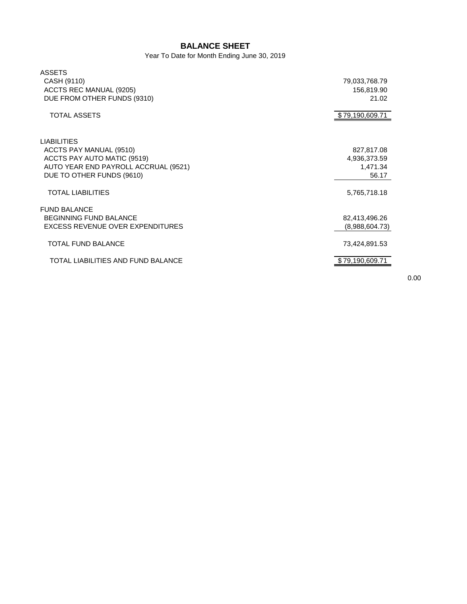## **BALANCE SHEET**

Year To Date for Month Ending June 30, 2019

| <b>ASSETS</b>                        |                 |
|--------------------------------------|-----------------|
| CASH (9110)                          | 79,033,768.79   |
| ACCTS REC MANUAL (9205)              | 156,819.90      |
| DUE FROM OTHER FUNDS (9310)          | 21.02           |
|                                      |                 |
| <b>TOTAL ASSETS</b>                  | \$79,190,609.71 |
|                                      |                 |
| <b>LIABILITIES</b>                   |                 |
| ACCTS PAY MANUAL (9510)              | 827,817.08      |
| ACCTS PAY AUTO MATIC (9519)          | 4,936,373.59    |
| AUTO YEAR END PAYROLL ACCRUAL (9521) | 1,471.34        |
| DUE TO OTHER FUNDS (9610)            | 56.17           |
| <b>TOTAL LIABILITIES</b>             | 5,765,718.18    |
| <b>FUND BALANCE</b>                  |                 |
| <b>BEGINNING FUND BALANCE</b>        | 82,413,496.26   |
| EXCESS REVENUE OVER EXPENDITURES     | (8,988,604.73)  |
| TOTAL FUND BALANCE                   | 73,424,891.53   |
|                                      |                 |
| TOTAL LIABILITIES AND FUND BALANCE   | \$79,190,609.71 |
|                                      |                 |

0.00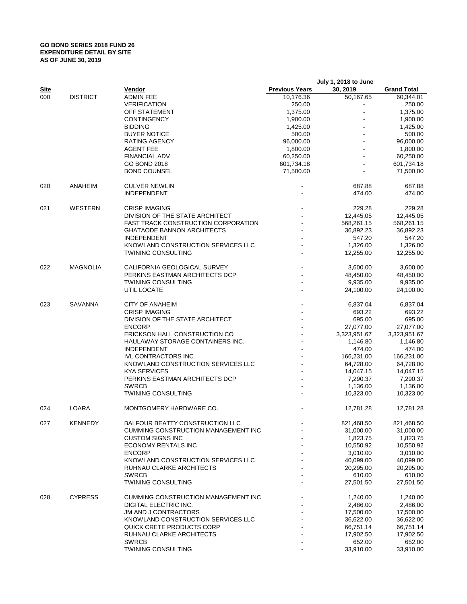## **GO BOND SERIES 2018 FUND 26 EXPENDITURE DETAIL BY SITE AS OF JUNE 30, 2019**

|             |                    |                                            | July 1, 2018 to June  |              |                    |
|-------------|--------------------|--------------------------------------------|-----------------------|--------------|--------------------|
| <b>Site</b> |                    | Vendor                                     | <b>Previous Years</b> | 30, 2019     | <b>Grand Total</b> |
| 000         | <b>DISTRICT</b>    | <b>ADMIN FEE</b>                           | 10,176.36             | 50,167.65    | 60,344.01          |
|             |                    | <b>VERIFICATION</b>                        | 250.00                |              | 250.00             |
|             |                    | OFF STATEMENT                              | 1,375.00              |              | 1,375.00           |
|             |                    | <b>CONTINGENCY</b>                         | 1,900.00              |              | 1,900.00           |
|             |                    | <b>BIDDING</b>                             | 1,425.00              |              | 1,425.00           |
|             |                    | <b>BUYER NOTICE</b>                        | 500.00                |              | 500.00             |
|             |                    | RATING AGENCY                              | 96,000.00             |              | 96,000.00          |
|             |                    | <b>AGENT FEE</b>                           | 1,800.00              |              | 1,800.00           |
|             |                    | <b>FINANCIAL ADV</b>                       | 60,250.00             |              | 60,250.00          |
|             |                    | GO BOND 2018                               | 601,734.18            |              | 601,734.18         |
|             |                    | <b>BOND COUNSEL</b>                        | 71,500.00             |              | 71,500.00          |
| 020         | ANAHEIM            | <b>CULVER NEWLIN</b>                       |                       | 687.88       | 687.88             |
|             |                    | <b>INDEPENDENT</b>                         |                       | 474.00       | 474.00             |
| 021         | WESTERN            | <b>CRISP IMAGING</b>                       |                       | 229.28       | 229.28             |
|             |                    | DIVISION OF THE STATE ARCHITECT            |                       | 12,445.05    | 12,445.05          |
|             |                    | <b>FAST TRACK CONSTRUCTION CORPORATION</b> |                       | 568,261.15   | 568,261.15         |
|             |                    | <b>GHATAODE BANNON ARCHITECTS</b>          |                       | 36,892.23    | 36,892.23          |
|             |                    | <b>INDEPENDENT</b>                         |                       | 547.20       | 547.20             |
|             |                    | KNOWLAND CONSTRUCTION SERVICES LLC         |                       | 1,326.00     | 1,326.00           |
|             |                    | <b>TWINING CONSULTING</b>                  |                       | 12,255.00    | 12,255.00          |
| 022         | <b>MAGNOLIA</b>    | CALIFORNIA GEOLOGICAL SURVEY               |                       | 3,600.00     | 3,600.00           |
|             |                    | PERKINS EASTMAN ARCHITECTS DCP             |                       | 48,450.00    | 48,450.00          |
|             |                    | <b>TWINING CONSULTING</b>                  |                       | 9,935.00     | 9,935.00           |
|             |                    | UTIL LOCATE                                |                       | 24,100.00    | 24,100.00          |
| 023         | <b>SAVANNA</b>     | <b>CITY OF ANAHEIM</b>                     |                       | 6,837.04     | 6,837.04           |
|             |                    | <b>CRISP IMAGING</b>                       |                       | 693.22       | 693.22             |
|             |                    | DIVISION OF THE STATE ARCHITECT            |                       | 695.00       | 695.00             |
|             |                    | <b>ENCORP</b>                              |                       | 27,077.00    | 27,077.00          |
|             |                    | ERICKSON HALL CONSTRUCTION CO              |                       | 3,323,951.67 | 3,323,951.67       |
|             |                    | HAULAWAY STORAGE CONTAINERS INC.           |                       | 1,146.80     | 1,146.80           |
|             |                    | <b>INDEPENDENT</b>                         |                       | 474.00       | 474.00             |
|             |                    | <b>IVL CONTRACTORS INC</b>                 |                       | 166,231.00   | 166,231.00         |
|             |                    | KNOWLAND CONSTRUCTION SERVICES LLC         |                       | 64,728.00    | 64,728.00          |
|             |                    | <b>KYA SERVICES</b>                        |                       | 14,047.15    | 14,047.15          |
|             |                    | PERKINS EASTMAN ARCHITECTS DCP             |                       | 7,290.37     | 7,290.37           |
|             |                    | <b>SWRCB</b>                               |                       | 1,136.00     | 1,136.00           |
|             |                    | <b>TWINING CONSULTING</b>                  |                       | 10,323.00    | 10,323.00          |
| 024         | <b>LOARA</b>       | MONTGOMERY HARDWARE CO.                    |                       | 12,781.28    | 12,781.28          |
| 027         | <b>KENNEDY</b>     | BALFOUR BEATTY CONSTRUCTION LLC            |                       | 821,468.50   | 821,468.50         |
|             |                    | <b>CUMMING CONSTRUCTION MANAGEMENT INC</b> |                       | 31,000.00    | 31,000.00          |
|             |                    | <b>CUSTOM SIGNS INC</b>                    |                       | 1,823.75     | 1,823.75           |
|             |                    | ECONOMY RENTALS INC                        |                       | 10,550.92    | 10,550.92          |
|             |                    | <b>ENCORP</b>                              |                       | 3,010.00     | 3,010.00           |
|             |                    | KNOWLAND CONSTRUCTION SERVICES LLC         |                       | 40,099.00    | 40,099.00          |
|             |                    | RUHNAU CLARKE ARCHITECTS                   |                       | 20,295.00    | 20,295.00          |
|             |                    | <b>SWRCB</b>                               |                       | 610.00       | 610.00             |
|             | TWINING CONSULTING |                                            | 27,501.50             | 27,501.50    |                    |
| 028         | <b>CYPRESS</b>     | <b>CUMMING CONSTRUCTION MANAGEMENT INC</b> |                       | 1,240.00     | 1,240.00           |
|             |                    | DIGITAL ELECTRIC INC.                      |                       | 2,486.00     | 2,486.00           |
|             |                    | <b>JM AND J CONTRACTORS</b>                |                       | 17,500.00    | 17,500.00          |
|             |                    | KNOWLAND CONSTRUCTION SERVICES LLC         |                       | 36,622.00    | 36,622.00          |
|             |                    | QUICK CRETE PRODUCTS CORP                  |                       | 66,751.14    | 66,751.14          |
|             |                    | RUHNAU CLARKE ARCHITECTS                   |                       | 17,902.50    | 17,902.50          |
|             |                    | <b>SWRCB</b>                               |                       | 652.00       | 652.00             |
|             |                    | TWINING CONSULTING                         |                       | 33,910.00    | 33,910.00          |